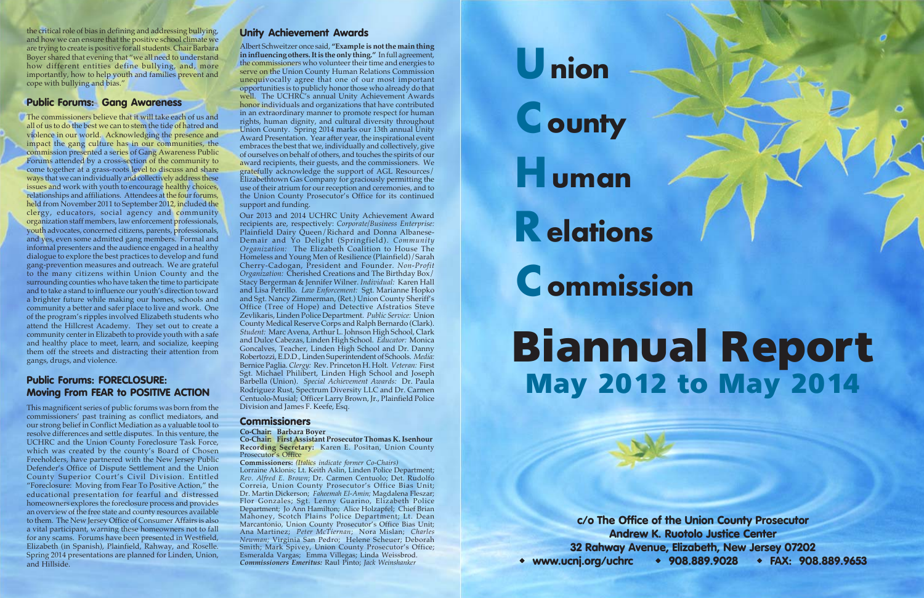Union **County Human** Relations **C** ommission **May 2012 to May 2014 Biannual Report**

**c/o The Office of the Union County Prosecutor Andrew K. Ruotolo Justice Center 32 Rahway Avenue, Elizabeth, New Jersey 07202 www.ucnj.org/uchrc 908.889.9028 FAX: 908.889.9653**

the critical role of bias in defining and addressing bullying, and how we can ensure that the positive school climate we are trying to create is positive for all students. Chair Barbara Boyer shared that evening that "we all need to understand how different entities define bullying, and, more importantly, how to help youth and families prevent and cope with bullying and bias."

#### **Public Forums: Gang Awareness**

The commissioners believe that it will take each of us and all of us to do the best we can to stem the tide of hatred and violence in our world. Acknowledging the presence and impact the gang culture has in our communities, the commission presented a series of Gang Awareness Public Forums attended by a cross-section of the community to come together at a grass-roots level to discuss and share ways that we can individually and collectively address these issues and work with youth to encourage healthy choices, relationships and affiliations. Attendees at the four forums, held from November 2011 to September 2012, included the clergy, educators, social agency and community organization staff members, law enforcement professionals, youth advocates, concerned citizens, parents, professionals, and yes, even some admitted gang members. Formal and informal presenters and the audience engaged in a healthy dialogue to explore the best practices to develop and fund gang-prevention measures and outreach. We are grateful to the many citizens within Union County and the surrounding counties who have taken the time to participate and to take a stand to influence our youth's direction toward a brighter future while making our homes, schools and community a better and safer place to live and work. One of the program's ripples involved Elizabeth students who attend the Hillcrest Academy. They set out to create a community center in Elizabeth to provide youth with a safe and healthy place to meet, learn, and socialize, keeping them off the streets and distracting their attention from gangs, drugs, and violence.

#### **Public Forums: FORECLOSURE: Moving From FEAR to POSITIVE ACTION**

This magnificent series of public forums was born from the commissioners' past training as conflict mediators, and our strong belief in Conflict Mediation as a valuable tool to resolve differences and settle disputes. In this venture, the UCHRC and the Union County Foreclosure Task Force, which was created by the county's Board of Chosen Freeholders, have partnered with the New Jersey Public Defender's Office of Dispute Settlement and the Union County Superior Court's Civil Division. Entitled "Foreclosure: Moving from Fear To Positive Action," the educational presentation for fearful and distressed homeowners explores the foreclosure process and provides an overview of the free state and county resources available to them. The New Jersey Office of Consumer Affairs is also a vital participant, warning these homeowners not to fall for any scams. Forums have been presented in Westfield, Elizabeth (in Spanish), Plainfield, Rahway, and Roselle. Spring 2014 presentations are planned for Linden, Union, and Hillside.

**Co-Chair: First Assistant Prosecutor Thomas K. Isenhour Recording Secretary:** Karen E. Positan, Union County Prosecutor's Office

#### **Unity Achievement Awards**

Albert Schweitzer once said, **"Example is not the main thing in influencing others. It is the only thing."** In full agreement, the commissioners who volunteer their time and energies to serve on the Union County Human Relations Commission unequivocally agree that one of our most important opportunities is to publicly honor those who already do that well. The UCHRC's annual Unity Achievement Awards honor individuals and organizations that have contributed in an extraordinary manner to promote respect for human rights, human dignity, and cultural diversity throughout Union County. Spring 2014 marks our 13th annual Unity Award Presentation. Year after year, the inspirational event embraces the best that we, individually and collectively, give of ourselves on behalf of others, and touches the spirits of our award recipients, their guests, and the commissioners. We gratefully acknowledge the support of AGL Resources/ Elizabethtown Gas Company for graciously permitting the use of their atrium for our reception and ceremonies, and to the Union County Prosecutor's Office for its continued support and funding.

Our 2013 and 2014 UCHRC Unity Achievement Award recipients are, respectively: *Corporate/Business Enterprise:* Plainfield Dairy Queen/Richard and Donna Albanese-Demair and Yo Delight (Springfield). *Community Organization:* The Elizabeth Coalition to House The Homeless and Young Men of Resilience (Plainfield)/Sarah Cherry-Cadogan, President and Founder. *Non-Profit Organization:* Cherished Creations and The Birthday Box/ Stacy Bergerman & Jennifer Wilner. *Individual:* Karen Hall and Lisa Petrillo. *Law Enforcement:* Sgt. Marianne Hopko and Sgt. Nancy Zimmerman, (Ret.) Union County Sheriff's Office (Tree of Hope) and Detective Afstratios Steve Zevlikaris, Linden Police Department. *Public Service:* Union County Medical Reserve Corps and Ralph Bernardo (Clark). *Student:* Marc Avena, Arthur L. Johnson High School, Clark and Dulce Cabezas, Linden High School. *Educator:* Monica Goncalves, Teacher, Linden High School and Dr. Danny Robertozzi, E.D.D., Linden Superintendent of Schools. *Media:* Bernice Paglia. *Clergy:* Rev. Princeton H. Holt. *Veteran:* First Sgt. Michael Philibert, Linden High School and Joseph Barbella (Union). *Special Achievement Awards:* Dr. Paula Rodriguez Rust, Spectrum Diversity LLC and Dr. Carmen Centuolo-Musial; Officer Larry Brown, Jr., Plainfield Police Division and James F. Keefe, Esq.

#### **Commissioners**

**Co-Chair: Barbara Boyer**

**Commissioners:** *(Italics indicate former Co-Chairs)* Lorraine Aklonis; Lt. Keith Aslin, Linden Police Department; *Rev. Alfred E. Brown*; Dr. Carmen Centuolo; Det. Rudolfo Correia, Union County Prosecutor's Office Bias Unit; Dr. Martin Dickerson; *Faheemah El-Amin;* Magdalena Fleszar; Flor Gonzales; Sgt. Lenny Guarino, Elizabeth Police Department; Jo Ann Hamilton; Alice Holzapfel; Chief Brian Mahoney, Scotch Plains Police Department; Lt. Dean Marcantonio, Union County Prosecutor's Office Bias Unit; Ana Martinez; *Peter McTiernan*; Nora Mislan; *Charles Newman;* Virginia San Pedro; Helene Scheuer; Deborah Smith; Mark Spivey, Union County Prosecutor's Office; Esmeralda Vargas; Emma Villegas; Linda Weissbrod. *Commissioners Emeritus:* Raul Pinto; *Jack Weinshanker*